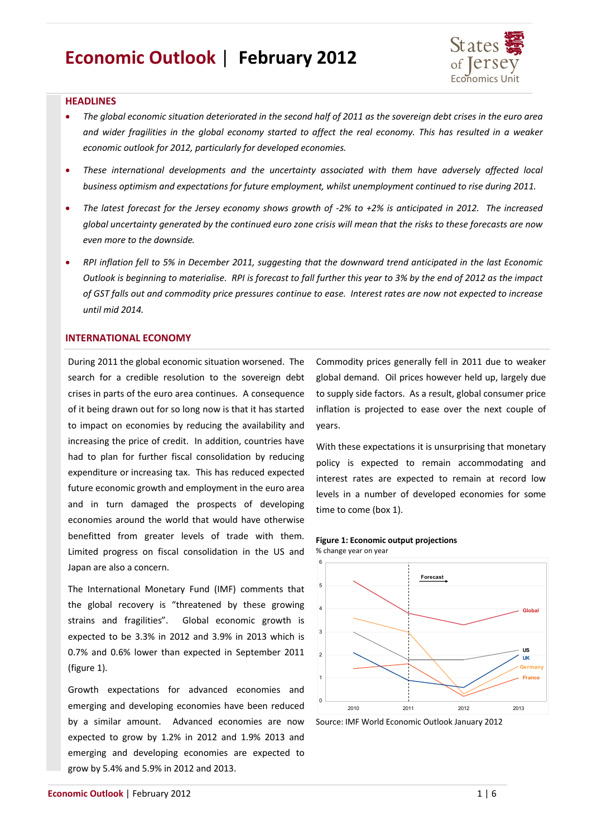# **Economic Outlook** | **February 2012**



# **HEADLINES**

- *The global economic situation deteriorated in the second half of 2011 as the sovereign debt crises in the euro area and wider fragilities in the global economy started to affect the real economy. This has resulted in a weaker economic outlook for 2012, particularly for developed economies.*
- *These international developments and the uncertainty associated with them have adversely affected local business optimism and expectations for future employment, whilst unemployment continued to rise during 2011.*
- *The latest forecast for the Jersey economy shows growth of -2% to +2% is anticipated in 2012. The increased global uncertainty generated by the continued euro zone crisis will mean that the risks to these forecasts are now even more to the downside.*
- *RPI inflation fell to 5% in December 2011, suggesting that the downward trend anticipated in the last Economic Outlook is beginning to materialise. RPI is forecast to fall further this year to 3% by the end of 2012 as the impact of GST falls out and commodity price pressures continue to ease. Interest rates are now not expected to increase until mid 2014.*

# **INTERNATIONAL ECONOMY**

During 2011 the global economic situation worsened. The search for a credible resolution to the sovereign debt crises in parts of the euro area continues. A consequence of it being drawn out for so long now is that it has started to impact on economies by reducing the availability and increasing the price of credit. In addition, countries have had to plan for further fiscal consolidation by reducing expenditure or increasing tax. This has reduced expected future economic growth and employment in the euro area and in turn damaged the prospects of developing economies around the world that would have otherwise benefitted from greater levels of trade with them. Limited progress on fiscal consolidation in the US and Japan are also a concern.

The International Monetary Fund (IMF) comments that the global recovery is "threatened by these growing strains and fragilities". Global economic growth is expected to be 3.3% in 2012 and 3.9% in 2013 which is 0.7% and 0.6% lower than expected in September 2011 (figure 1).

Growth expectations for advanced economies and emerging and developing economies have been reduced by a similar amount. Advanced economies are now expected to grow by 1.2% in 2012 and 1.9% 2013 and emerging and developing economies are expected to grow by 5.4% and 5.9% in 2012 and 2013.

Commodity prices generally fell in 2011 due to weaker global demand. Oil prices however held up, largely due to supply side factors. As a result, global consumer price inflation is projected to ease over the next couple of years.

With these expectations it is unsurprising that monetary policy is expected to remain accommodating and interest rates are expected to remain at record low levels in a number of developed economies for some time to come (box 1).

**Figure 1: Economic output projections**



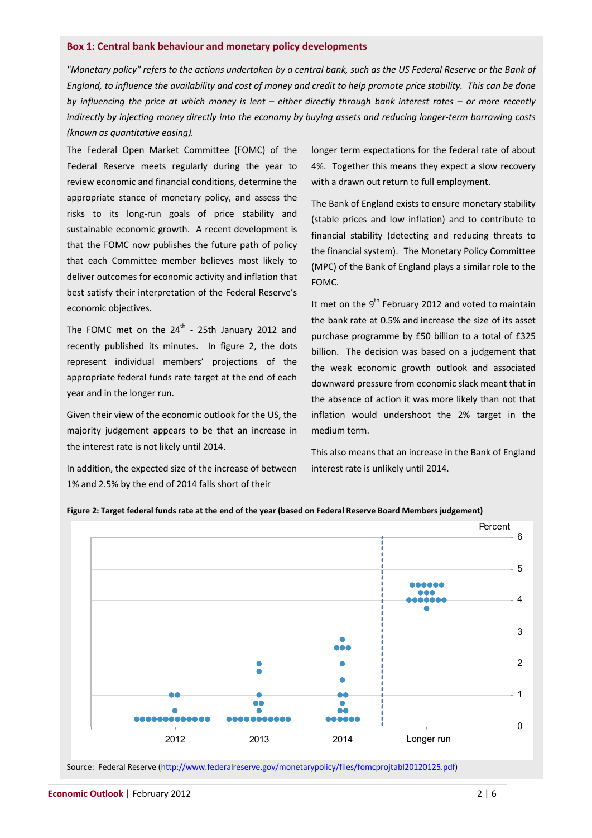#### **Box 1: Central bank behaviour and monetary policy developments**

*"Monetary policy" refers to the actions undertaken by a central bank, such as the US Federal Reserve or the Bank of England, to influence the availability and cost of money and credit to help promote price stability. This can be done by influencing the price at which money is lent – either directly through bank interest rates – or more recently indirectly by injecting money directly into the economy by buying assets and reducing longer-term borrowing costs (known as quantitative easing).* 

The Federal Open Market Committee (FOMC) of the Federal Reserve meets regularly during the year to review economic and financial conditions, determine the appropriate stance of monetary policy, and assess the risks to its long-run goals of price stability and sustainable economic growth. A recent development is that the FOMC now publishes the future path of policy that each Committee member believes most likely to deliver outcomes for economic activity and inflation that best satisfy their interpretation of the Federal Reserve's economic objectives.

The FOMC met on the  $24^{\text{th}}$  - 25th January 2012 and recently published its minutes. In figure 2, the dots represent individual members' projections of the appropriate federal funds rate target at the end of each year and in the longer run.

Given their view of the economic outlook for the US, the majority judgement appears to be that an increase in the interest rate is not likely until 2014.

In addition, the expected size of the increase of between 1% and 2.5% by the end of 2014 falls short of their

longer term expectations for the federal rate of about 4%. Together this means they expect a slow recovery with a drawn out return to full employment.

The Bank of England exists to ensure monetary stability (stable prices and low inflation) and to contribute to financial stability (detecting and reducing threats to the financial system). The Monetary Policy Committee (MPC) of the Bank of England plays a similar role to the FOMC.

It met on the  $9<sup>th</sup>$  February 2012 and voted to maintain the bank rate at 0.5% and increase the size of its asset purchase programme by £50 billion to a total of £325 billion. The decision was based on a judgement that the weak economic growth outlook and associated downward pressure from economic slack meant that in the absence of action it was more likely than not that inflation would undershoot the 2% target in the medium term.

This also means that an increase in the Bank of England interest rate is unlikely until 2014.





Source: Federal Reserve (http://www.federalreserve.gov/monetarypolicy/files/fomcprojtabl20120125.pdf)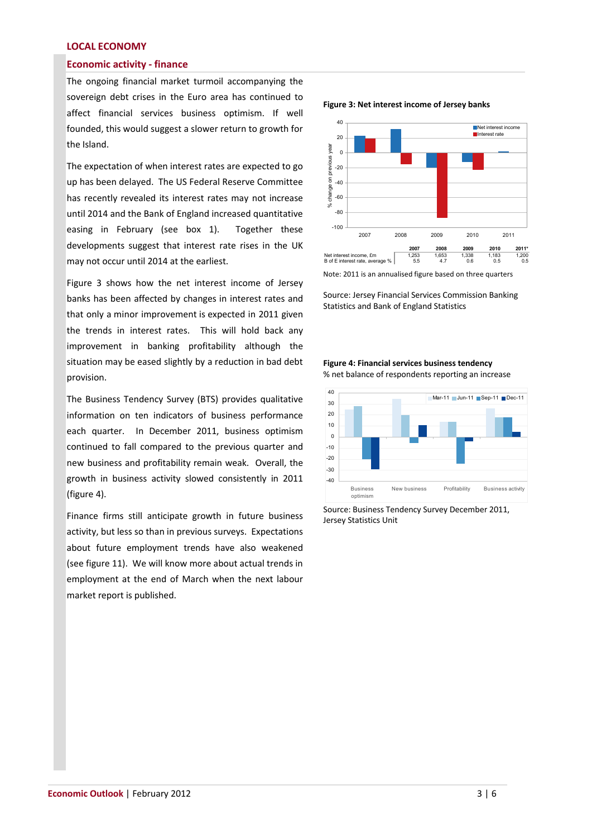# **LOCAL ECONOMY**

# **Economic activity - finance**

The ongoing financial market turmoil accompanying the sovereign debt crises in the Euro area has continued to affect financial services business optimism. If well founded, this would suggest a slower return to growth for the Island.

The expectation of when interest rates are expected to go up has been delayed. The US Federal Reserve Committee has recently revealed its interest rates may not increase until 2014 and the Bank of England increased quantitative easing in February (see box 1). Together these developments suggest that interest rate rises in the UK may not occur until 2014 at the earliest.

Figure 3 shows how the net interest income of Jersey banks has been affected by changes in interest rates and that only a minor improvement is expected in 2011 given the trends in interest rates. This will hold back any improvement in banking profitability although the situation may be eased slightly by a reduction in bad debt provision.

The Business Tendency Survey (BTS) provides qualitative information on ten indicators of business performance each quarter. In December 2011, business optimism continued to fall compared to the previous quarter and new business and profitability remain weak. Overall, the growth in business activity slowed consistently in 2011 (figure 4).

Finance firms still anticipate growth in future business activity, but less so than in previous surveys. Expectations about future employment trends have also weakened (see figure 11). We will know more about actual trends in employment at the end of March when the next labour market report is published.



**Figure 3: Net interest income of Jersey banks**

Note: 2011 is an annualised figure based on three quarters

Source: Jersey Financial Services Commission Banking Statistics and Bank of England Statistics

## **Figure 4: Financial services business tendency** % net balance of respondents reporting an increase



Source: Business Tendency Survey December 2011, Jersey Statistics Unit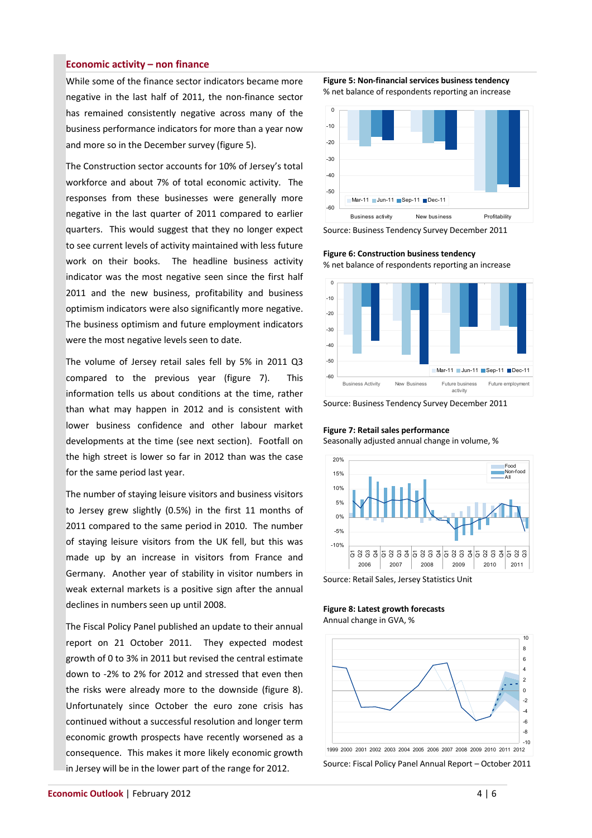# **Economic activity – non finance**

While some of the finance sector indicators became more negative in the last half of 2011, the non-finance sector has remained consistently negative across many of the business performance indicators for more than a year now and more so in the December survey (figure 5).

The Construction sector accounts for 10% of Jersey's total workforce and about 7% of total economic activity. The responses from these businesses were generally more negative in the last quarter of 2011 compared to earlier quarters. This would suggest that they no longer expect to see current levels of activity maintained with less future work on their books. The headline business activity indicator was the most negative seen since the first half 2011 and the new business, profitability and business optimism indicators were also significantly more negative. The business optimism and future employment indicators were the most negative levels seen to date.

The volume of Jersey retail sales fell by 5% in 2011 Q3 compared to the previous year (figure 7). This information tells us about conditions at the time, rather than what may happen in 2012 and is consistent with lower business confidence and other labour market developments at the time (see next section). Footfall on the high street is lower so far in 2012 than was the case for the same period last year.

The number of staying leisure visitors and business visitors to Jersey grew slightly (0.5%) in the first 11 months of 2011 compared to the same period in 2010. The number of staying leisure visitors from the UK fell, but this was made up by an increase in visitors from France and Germany. Another year of stability in visitor numbers in weak external markets is a positive sign after the annual declines in numbers seen up until 2008.

The Fiscal Policy Panel published an update to their annual report on 21 October 2011. They expected modest growth of 0 to 3% in 2011 but revised the central estimate down to -2% to 2% for 2012 and stressed that even then the risks were already more to the downside (figure 8). Unfortunately since October the euro zone crisis has continued without a successful resolution and longer term economic growth prospects have recently worsened as a consequence. This makes it more likely economic growth in Jersey will be in the lower part of the range for 2012.

**Figure 5: Non-financial services business tendency** % net balance of respondents reporting an increase



Source: Business Tendency Survey December 2011

**Figure 6: Construction business tendency** % net balance of respondents reporting an increase



Source: Business Tendency Survey December 2011

# **Figure 7: Retail sales performance**

Seasonally adjusted annual change in volume, %



Source: Retail Sales, Jersey Statistics Unit

**Figure 8: Latest growth forecasts** Annual change in GVA, %



Source: Fiscal Policy Panel Annual Report – October 2011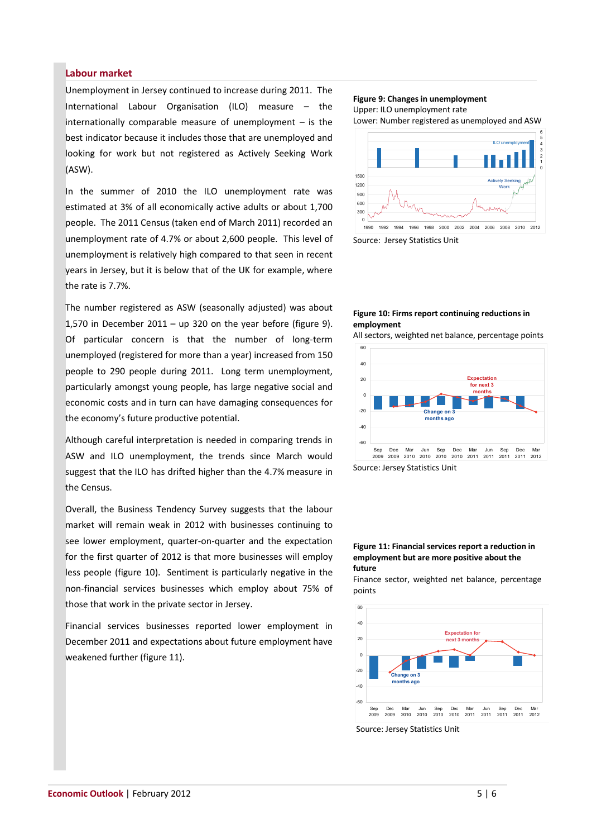# **Labour market**

Unemployment in Jersey continued to increase during 2011. The International Labour Organisation (ILO) measure – the internationally comparable measure of unemployment  $-$  is the best indicator because it includes those that are unemployed and looking for work but not registered as Actively Seeking Work (ASW).

In the summer of 2010 the ILO unemployment rate was estimated at 3% of all economically active adults or about 1,700 people. The 2011 Census (taken end of March 2011) recorded an unemployment rate of 4.7% or about 2,600 people. This level of unemployment is relatively high compared to that seen in recent years in Jersey, but it is below that of the UK for example, where the rate is 7.7%.

The number registered as ASW (seasonally adjusted) was about 1,570 in December 2011 – up 320 on the year before (figure 9). Of particular concern is that the number of long-term unemployed (registered for more than a year) increased from 150 people to 290 people during 2011. Long term unemployment, particularly amongst young people, has large negative social and economic costs and in turn can have damaging consequences for the economy's future productive potential.

Although careful interpretation is needed in comparing trends in ASW and ILO unemployment, the trends since March would suggest that the ILO has drifted higher than the 4.7% measure in the Census.

Overall, the Business Tendency Survey suggests that the labour market will remain weak in 2012 with businesses continuing to see lower employment, quarter-on-quarter and the expectation for the first quarter of 2012 is that more businesses will employ less people (figure 10). Sentiment is particularly negative in the non-financial services businesses which employ about 75% of those that work in the private sector in Jersey.

Financial services businesses reported lower employment in December 2011 and expectations about future employment have weakened further (figure 11).

#### **Figure 9: Changes in unemployment** Upper: ILO unemployment rate

Lower: Number registered as unemployed and ASW



Source: Jersey Statistics Unit

# **Figure 10: Firms report continuing reductions in employment**

All sectors, weighted net balance, percentage points



Source: Jersey Statistics Unit

#### **Figure 11: Financial services report a reduction in employment but are more positive about the future**

Finance sector, weighted net balance, percentage points



Source: Jersey Statistics Unit